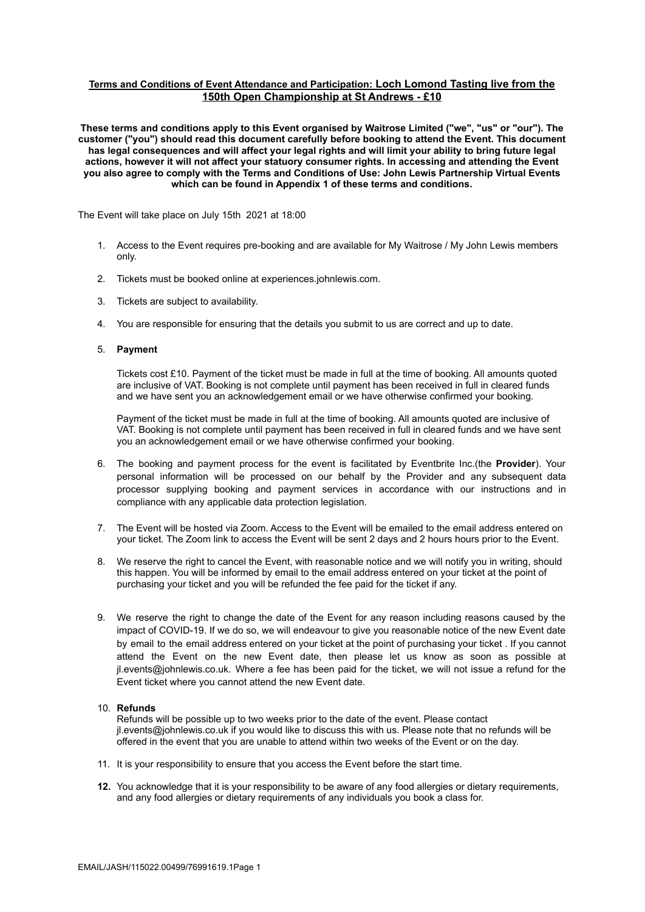# **Terms and Conditions of Event Attendance and Participation: Loch Lomond Tasting live from the 150th Open Championship at St Andrews - £10**

**These terms and conditions apply to this Event organised by Waitrose Limited ("we", "us" or "our"). The customer ("you") should read this document carefully before booking to attend the Event. This document has legal consequences and will affect your legal rights and will limit your ability to bring future legal actions, however it will not affect your statuory consumer rights. In accessing and attending the Event you also agree to comply with the Terms and Conditions of Use: John Lewis Partnership Virtual Events which can be found in Appendix 1 of these terms and conditions.**

The Event will take place on July 15th 2021 at 18:00

- 1. Access to the Event requires pre-booking and are available for My Waitrose / My John Lewis members only.
- 2. Tickets must be booked online at experiences.johnlewis.com.
- 3. Tickets are subject to availability.
- 4. You are responsible for ensuring that the details you submit to us are correct and up to date.

#### 5. **Payment**

Tickets cost £10. Payment of the ticket must be made in full at the time of booking. All amounts quoted are inclusive of VAT. Booking is not complete until payment has been received in full in cleared funds and we have sent you an acknowledgement email or we have otherwise confirmed your booking.

Payment of the ticket must be made in full at the time of booking. All amounts quoted are inclusive of VAT. Booking is not complete until payment has been received in full in cleared funds and we have sent you an acknowledgement email or we have otherwise confirmed your booking.

- 6. The booking and payment process for the event is facilitated by Eventbrite Inc.(the **Provider**). Your personal information will be processed on our behalf by the Provider and any subsequent data processor supplying booking and payment services in accordance with our instructions and in compliance with any applicable data protection legislation.
- 7. The Event will be hosted via Zoom. Access to the Event will be emailed to the email address entered on your ticket. The Zoom link to access the Event will be sent 2 days and 2 hours hours prior to the Event.
- 8. We reserve the right to cancel the Event, with reasonable notice and we will notify you in writing, should this happen. You will be informed by email to the email address entered on your ticket at the point of purchasing your ticket and you will be refunded the fee paid for the ticket if any.
- 9. We reserve the right to change the date of the Event for any reason including reasons caused by the impact of COVID-19. If we do so, we will endeavour to give you reasonable notice of the new Event date by email to the email address entered on your ticket at the point of purchasing your ticket . If you cannot attend the Event on the new Event date, then please let us know as soon as possible at jl.events@johnlewis.co.uk. Where a fee has been paid for the ticket, we will not issue a refund for the Event ticket where you cannot attend the new Event date.

# 10. **Refunds**

Refunds will be possible up to two weeks prior to the date of the event. Please contact jl.events@johnlewis.co.uk if you would like to discuss this with us. Please note that no refunds will be offered in the event that you are unable to attend within two weeks of the Event or on the day.

- 11. It is your responsibility to ensure that you access the Event before the start time.
- **12.** You acknowledge that it is your responsibility to be aware of any food allergies or dietary requirements, and any food allergies or dietary requirements of any individuals you book a class for.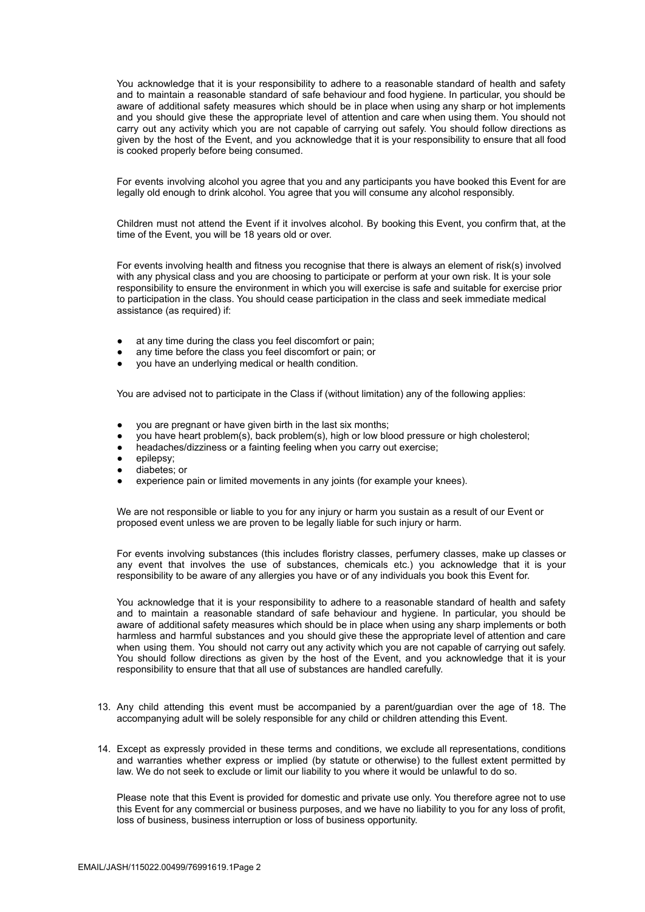You acknowledge that it is your responsibility to adhere to a reasonable standard of health and safety and to maintain a reasonable standard of safe behaviour and food hygiene. In particular, you should be aware of additional safety measures which should be in place when using any sharp or hot implements and you should give these the appropriate level of attention and care when using them. You should not carry out any activity which you are not capable of carrying out safely. You should follow directions as given by the host of the Event, and you acknowledge that it is your responsibility to ensure that all food is cooked properly before being consumed.

For events involving alcohol you agree that you and any participants you have booked this Event for are legally old enough to drink alcohol. You agree that you will consume any alcohol responsibly.

Children must not attend the Event if it involves alcohol. By booking this Event, you confirm that, at the time of the Event, you will be 18 years old or over.

For events involving health and fitness you recognise that there is always an element of risk(s) involved with any physical class and you are choosing to participate or perform at your own risk. It is your sole responsibility to ensure the environment in which you will exercise is safe and suitable for exercise prior to participation in the class. You should cease participation in the class and seek immediate medical assistance (as required) if:

- at any time during the class you feel discomfort or pain;
- any time before the class you feel discomfort or pain; or
- you have an underlying medical or health condition.

You are advised not to participate in the Class if (without limitation) any of the following applies:

- you are pregnant or have given birth in the last six months;
- you have heart problem(s), back problem(s), high or low blood pressure or high cholesterol;
- headaches/dizziness or a fainting feeling when you carry out exercise;
- epilepsy:
- diabetes; or
- experience pain or limited movements in any joints (for example your knees).

We are not responsible or liable to you for any injury or harm you sustain as a result of our Event or proposed event unless we are proven to be legally liable for such injury or harm.

For events involving substances (this includes floristry classes, perfumery classes, make up classes or any event that involves the use of substances, chemicals etc.) you acknowledge that it is your responsibility to be aware of any allergies you have or of any individuals you book this Event for.

You acknowledge that it is your responsibility to adhere to a reasonable standard of health and safety and to maintain a reasonable standard of safe behaviour and hygiene. In particular, you should be aware of additional safety measures which should be in place when using any sharp implements or both harmless and harmful substances and you should give these the appropriate level of attention and care when using them. You should not carry out any activity which you are not capable of carrying out safely. You should follow directions as given by the host of the Event, and you acknowledge that it is your responsibility to ensure that that all use of substances are handled carefully.

- 13. Any child attending this event must be accompanied by a parent/guardian over the age of 18. The accompanying adult will be solely responsible for any child or children attending this Event.
- 14. Except as expressly provided in these terms and conditions, we exclude all representations, conditions and warranties whether express or implied (by statute or otherwise) to the fullest extent permitted by law. We do not seek to exclude or limit our liability to you where it would be unlawful to do so.

Please note that this Event is provided for domestic and private use only. You therefore agree not to use this Event for any commercial or business purposes, and we have no liability to you for any loss of profit, loss of business, business interruption or loss of business opportunity.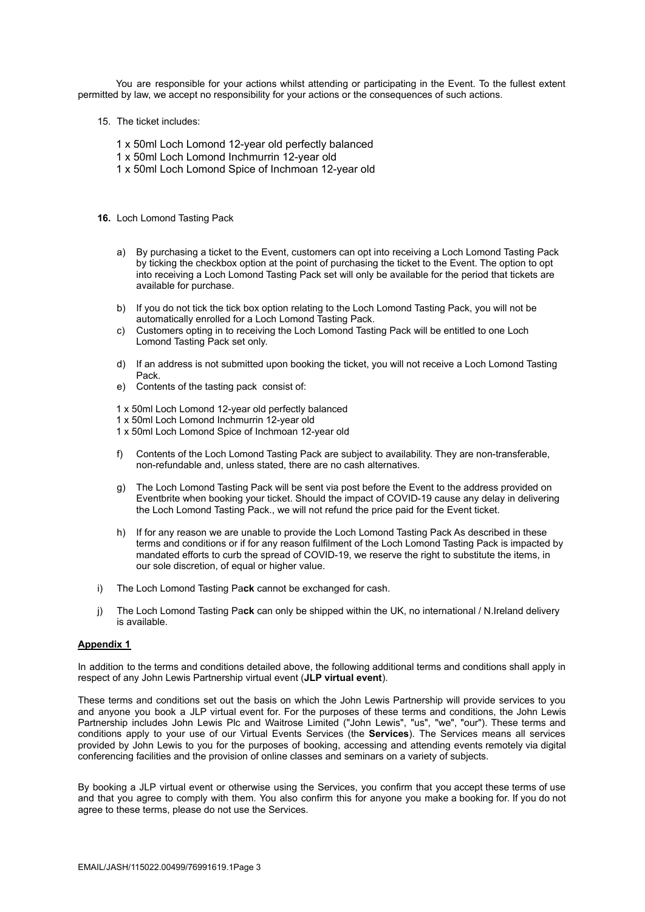You are responsible for your actions whilst attending or participating in the Event. To the fullest extent permitted by law, we accept no responsibility for your actions or the consequences of such actions.

- 15. The ticket includes:
	- 1 x 50ml Loch Lomond 12-year old perfectly balanced
	- 1 x 50ml Loch Lomond Inchmurrin 12-year old
	- 1 x 50ml Loch Lomond Spice of Inchmoan 12-year old
- **16.** Loch Lomond Tasting Pack
	- a) By purchasing a ticket to the Event, customers can opt into receiving a Loch Lomond Tasting Pack by ticking the checkbox option at the point of purchasing the ticket to the Event. The option to opt into receiving a Loch Lomond Tasting Pack set will only be available for the period that tickets are available for purchase.
	- b) If you do not tick the tick box option relating to the Loch Lomond Tasting Pack, you will not be automatically enrolled for a Loch Lomond Tasting Pack.
	- c) Customers opting in to receiving the Loch Lomond Tasting Pack will be entitled to one Loch Lomond Tasting Pack set only.
	- d) If an address is not submitted upon booking the ticket, you will not receive a Loch Lomond Tasting Pack.
	- e) Contents of the tasting pack consist of:

1 x 50ml Loch Lomond 12-year old perfectly balanced

- 1 x 50ml Loch Lomond Inchmurrin 12-year old
- 1 x 50ml Loch Lomond Spice of Inchmoan 12-year old
- f) Contents of the Loch Lomond Tasting Pack are subject to availability. They are non-transferable, non-refundable and, unless stated, there are no cash alternatives.
- g) The Loch Lomond Tasting Pack will be sent via post before the Event to the address provided on Eventbrite when booking your ticket. Should the impact of COVID-19 cause any delay in delivering the Loch Lomond Tasting Pack., we will not refund the price paid for the Event ticket.
- h) If for any reason we are unable to provide the Loch Lomond Tasting Pack As described in these terms and conditions or if for any reason fulfilment of the Loch Lomond Tasting Pack is impacted by mandated efforts to curb the spread of COVID-19, we reserve the right to substitute the items, in our sole discretion, of equal or higher value.
- i) The Loch Lomond Tasting Pa**ck** cannot be exchanged for cash.
- j) The Loch Lomond Tasting Pa**ck** can only be shipped within the UK, no international / N.Ireland delivery is available.

# **Appendix 1**

In addition to the terms and conditions detailed above, the following additional terms and conditions shall apply in respect of any John Lewis Partnership virtual event (**JLP virtual event**).

These terms and conditions set out the basis on which the John Lewis Partnership will provide services to you and anyone you book a JLP virtual event for. For the purposes of these terms and conditions, the John Lewis Partnership includes John Lewis Plc and Waitrose Limited ("John Lewis", "us", "we", "our"). These terms and conditions apply to your use of our Virtual Events Services (the **Services**). The Services means all services provided by John Lewis to you for the purposes of booking, accessing and attending events remotely via digital conferencing facilities and the provision of online classes and seminars on a variety of subjects.

By booking a JLP virtual event or otherwise using the Services, you confirm that you accept these terms of use and that you agree to comply with them. You also confirm this for anyone you make a booking for. If you do not agree to these terms, please do not use the Services.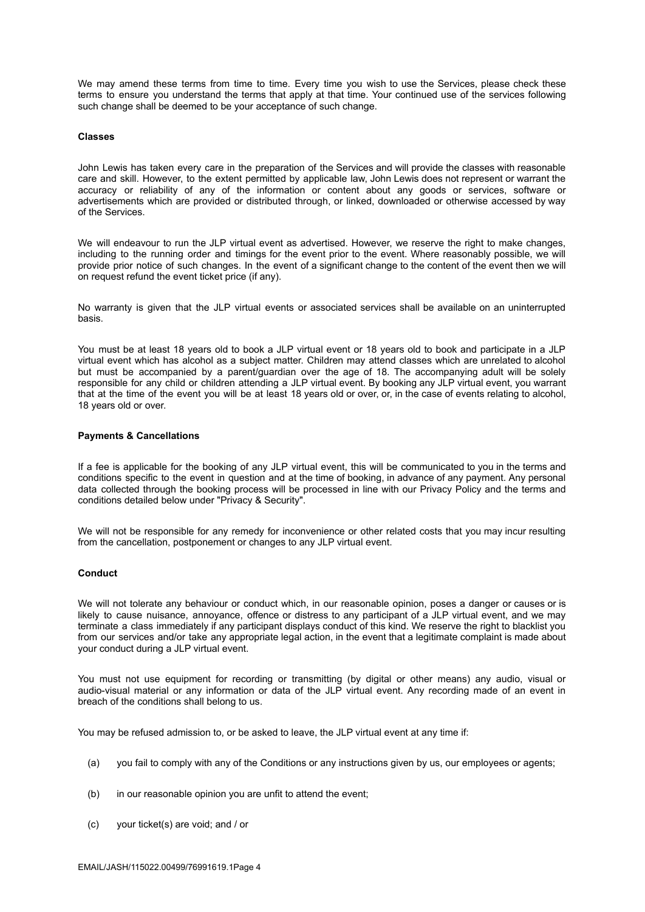We may amend these terms from time to time. Every time you wish to use the Services, please check these terms to ensure you understand the terms that apply at that time. Your continued use of the services following such change shall be deemed to be your acceptance of such change.

#### **Classes**

John Lewis has taken every care in the preparation of the Services and will provide the classes with reasonable care and skill. However, to the extent permitted by applicable law, John Lewis does not represent or warrant the accuracy or reliability of any of the information or content about any goods or services, software or advertisements which are provided or distributed through, or linked, downloaded or otherwise accessed by way of the Services.

We will endeavour to run the JLP virtual event as advertised. However, we reserve the right to make changes, including to the running order and timings for the event prior to the event. Where reasonably possible, we will provide prior notice of such changes. In the event of a significant change to the content of the event then we will on request refund the event ticket price (if any).

No warranty is given that the JLP virtual events or associated services shall be available on an uninterrupted basis.

You must be at least 18 years old to book a JLP virtual event or 18 years old to book and participate in a JLP virtual event which has alcohol as a subject matter. Children may attend classes which are unrelated to alcohol but must be accompanied by a parent/guardian over the age of 18. The accompanying adult will be solely responsible for any child or children attending a JLP virtual event. By booking any JLP virtual event, you warrant that at the time of the event you will be at least 18 years old or over, or, in the case of events relating to alcohol, 18 years old or over.

# **Payments & Cancellations**

If a fee is applicable for the booking of any JLP virtual event, this will be communicated to you in the terms and conditions specific to the event in question and at the time of booking, in advance of any payment. Any personal data collected through the booking process will be processed in line with our Privacy Policy and the terms and conditions detailed below under "Privacy & Security".

We will not be responsible for any remedy for inconvenience or other related costs that you may incur resulting from the cancellation, postponement or changes to any JLP virtual event.

# **Conduct**

We will not tolerate any behaviour or conduct which, in our reasonable opinion, poses a danger or causes or is likely to cause nuisance, annoyance, offence or distress to any participant of a JLP virtual event, and we may terminate a class immediately if any participant displays conduct of this kind. We reserve the right to blacklist you from our services and/or take any appropriate legal action, in the event that a legitimate complaint is made about your conduct during a JLP virtual event.

You must not use equipment for recording or transmitting (by digital or other means) any audio, visual or audio-visual material or any information or data of the JLP virtual event. Any recording made of an event in breach of the conditions shall belong to us.

You may be refused admission to, or be asked to leave, the JLP virtual event at any time if:

- (a) you fail to comply with any of the Conditions or any instructions given by us, our employees or agents;
- (b) in our reasonable opinion you are unfit to attend the event;
- (c) your ticket(s) are void; and / or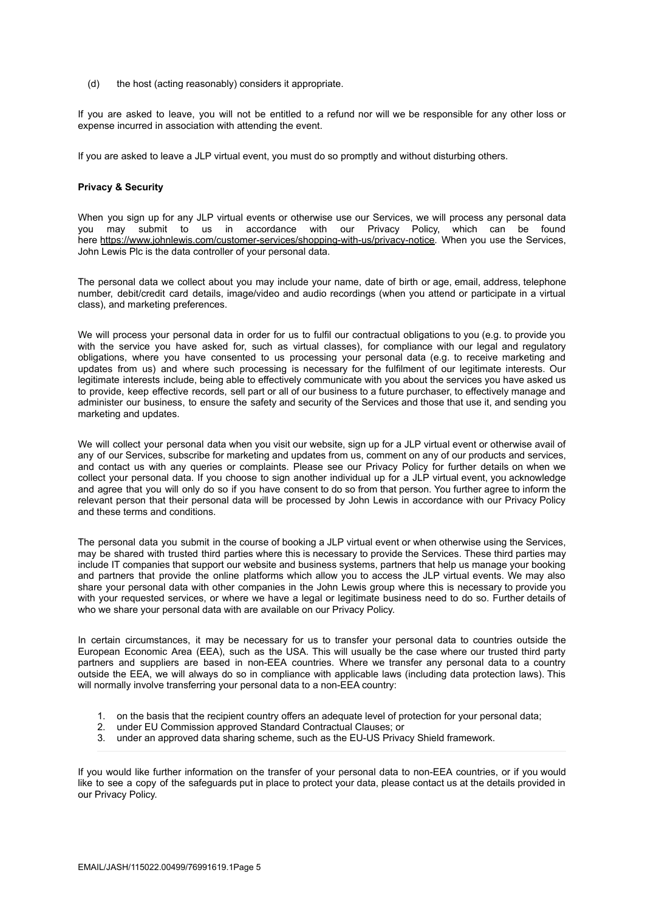(d) the host (acting reasonably) considers it appropriate.

If you are asked to leave, you will not be entitled to a refund nor will we be responsible for any other loss or expense incurred in association with attending the event.

If you are asked to leave a JLP virtual event, you must do so promptly and without disturbing others.

# **Privacy & Security**

When you sign up for any JLP virtual events or otherwise use our Services, we will process any personal data you may submit to us in accordance with our Privacy Policy, which can be found here [https://www.johnlewis.com/customer-services/shopping-with-us/privacy-notice.](https://www.johnlewis.com/customer-services/shopping-with-us/privacy-notice) When you use the Services, John Lewis Plc is the data controller of your personal data.

The personal data we collect about you may include your name, date of birth or age, email, address, telephone number, debit/credit card details, image/video and audio recordings (when you attend or participate in a virtual class), and marketing preferences.

We will process your personal data in order for us to fulfil our contractual obligations to you (e.g. to provide you with the service you have asked for, such as virtual classes), for compliance with our legal and regulatory obligations, where you have consented to us processing your personal data (e.g. to receive marketing and updates from us) and where such processing is necessary for the fulfilment of our legitimate interests. Our legitimate interests include, being able to effectively communicate with you about the services you have asked us to provide, keep effective records, sell part or all of our business to a future purchaser, to effectively manage and administer our business, to ensure the safety and security of the Services and those that use it, and sending you marketing and updates.

We will collect your personal data when you visit our website, sign up for a JLP virtual event or otherwise avail of any of our Services, subscribe for marketing and updates from us, comment on any of our products and services, and contact us with any queries or complaints. Please see our Privacy Policy for further details on when we collect your personal data. If you choose to sign another individual up for a JLP virtual event, you acknowledge and agree that you will only do so if you have consent to do so from that person. You further agree to inform the relevant person that their personal data will be processed by John Lewis in accordance with our Privacy Policy and these terms and conditions.

The personal data you submit in the course of booking a JLP virtual event or when otherwise using the Services, may be shared with trusted third parties where this is necessary to provide the Services. These third parties may include IT companies that support our website and business systems, partners that help us manage your booking and partners that provide the online platforms which allow you to access the JLP virtual events. We may also share your personal data with other companies in the John Lewis group where this is necessary to provide you with your requested services, or where we have a legal or legitimate business need to do so. Further details of who we share your personal data with are available on our Privacy Policy.

In certain circumstances, it may be necessary for us to transfer your personal data to countries outside the European Economic Area (EEA), such as the USA. This will usually be the case where our trusted third party partners and suppliers are based in non-EEA countries. Where we transfer any personal data to a country outside the EEA, we will always do so in compliance with applicable laws (including data protection laws). This will normally involve transferring your personal data to a non-EEA country:

- 1. on the basis that the recipient country offers an adequate level of protection for your personal data;
- 2. under EU Commission approved Standard Contractual Clauses; or
- 3. under an approved data sharing scheme, such as the EU-US Privacy Shield framework.

If you would like further information on the transfer of your personal data to non-EEA countries, or if you would like to see a copy of the safeguards put in place to protect your data, please contact us at the details provided in our Privacy Policy.